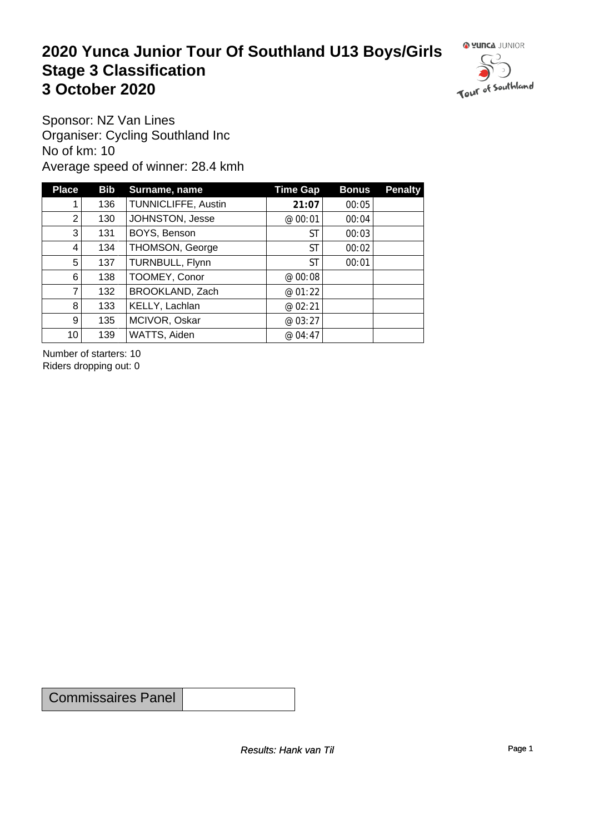#### **2020 Yunca Junior Tour Of Southland U13 Boys/Girls** Stage 3 Classification<br>
3 October 2020 **3 October 2020**



Sponsor: NZ Van Lines Organiser: Cycling Southland Inc No of km: 10 Average speed of winner: 28.4 kmh

| <b>Place</b>    | <b>Bib</b> | Surname, name       | <b>Time Gap</b> | <b>Bonus</b> | <b>Penalty</b> |
|-----------------|------------|---------------------|-----------------|--------------|----------------|
|                 | 136        | TUNNICLIFFE, Austin | 21:07           | 00:05        |                |
| 2               | 130        | JOHNSTON, Jesse     | @ 00:01         | 00:04        |                |
| 3               | 131        | BOYS, Benson        | ST              | 00:03        |                |
| 4               | 134        | THOMSON, George     | ST              | 00:02        |                |
| 5               | 137        | TURNBULL, Flynn     | ST              | 00:01        |                |
| 6               | 138        | TOOMEY, Conor       | @ 00:08         |              |                |
| $\overline{7}$  | 132        | BROOKLAND, Zach     | @ 01:22         |              |                |
| 8               | 133        | KELLY, Lachlan      | @ 02:21         |              |                |
| 9 <sup>°</sup>  | 135        | MCIVOR, Oskar       | @ 03:27         |              |                |
| 10 <sup>1</sup> | 139        | WATTS, Aiden        | @ 04:47         |              |                |

Number of starters: 10 Riders dropping out: 0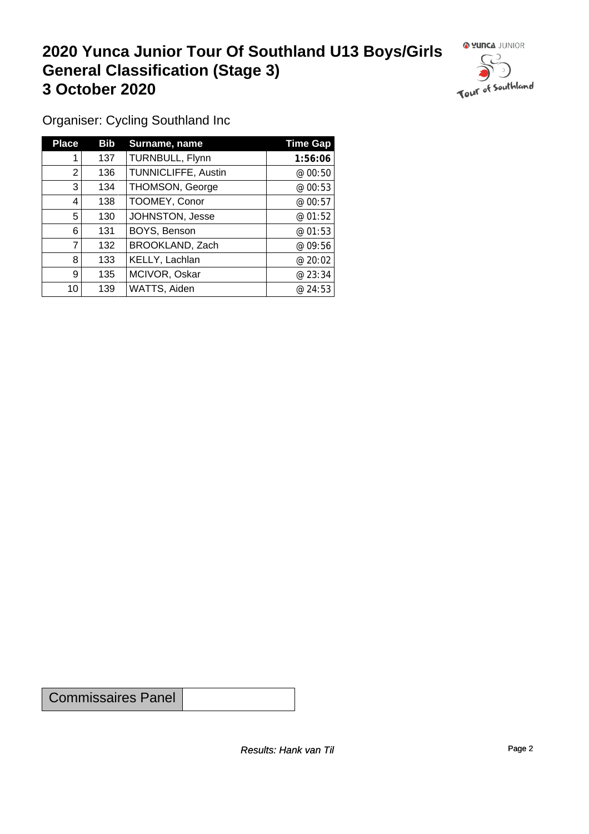## **2020 Yunca Junior Tour Of Southland U13 Boys/Girls General Classification (Stage 3)**<br> **3 October 2020 3 October 2020**



Organiser: Cycling Southland Inc

| <b>Place</b> | <b>Bib</b> | Surname, name          | <b>Time Gap</b> |
|--------------|------------|------------------------|-----------------|
|              | 137        | TURNBULL, Flynn        | 1:56:06         |
| 2            | 136        | TUNNICLIFFE, Austin    | @ 00:50         |
| 3            | 134        | <b>THOMSON, George</b> | @ 00:53         |
| 4            | 138        | TOOMEY, Conor          | @00:57          |
| 5            | 130        | JOHNSTON, Jesse        | @ 01:52         |
| 6            | 131        | BOYS, Benson           | @01:53          |
|              | 132        | BROOKLAND, Zach        | @ 09:56         |
| 8            | 133        | KELLY, Lachlan         | @20:02          |
| 9            | 135        | MCIVOR, Oskar          | @23:34          |
| 10           | 139        | WATTS, Aiden           | @24:53          |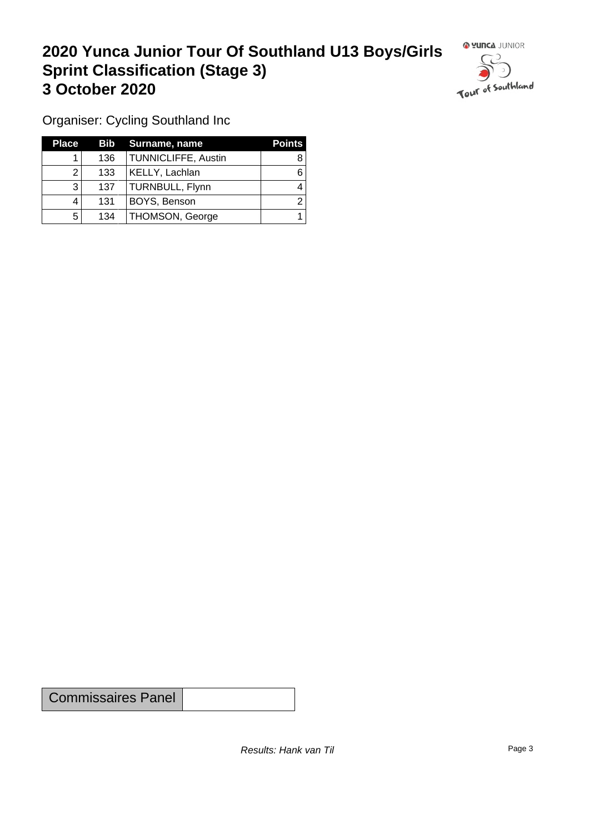### **2020 Yunca Junior Tour Of Southland U13 Boys/Girls Sprint Classification (Stage 3) 3 October 2020 1999 1999 1999 1999 1999 1999 1999 1999 1999 1999 1999 1999 1999 1999 1999 1999 1999 1999 1999 1999 1999 1999 1999 1999 1999 1999 1999 1999 1999 1**



Organiser: Cycling Southland Inc

| <b>Place</b> |     | <b>Bib</b> Surname, name   | <b>Points</b> |
|--------------|-----|----------------------------|---------------|
|              | 136 | <b>TUNNICLIFFE, Austin</b> |               |
|              | 133 | KELLY, Lachlan             |               |
| 3            | 137 | TURNBULL, Flynn            |               |
|              | 131 | BOYS, Benson               |               |
| 5            | 134 | <b>THOMSON, George</b>     |               |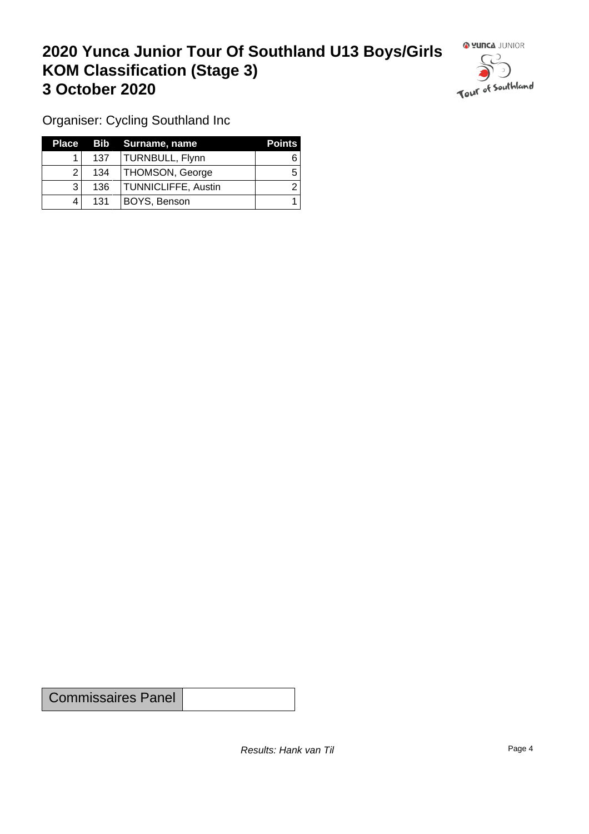### **2020 Yunca Junior Tour Of Southland U13 Boys/Girls KOM Classification (Stage 3) 3 October 2020**



Organiser: Cycling Southland Inc

| Place |     | Bib Surname, name          | <b>Points</b> |
|-------|-----|----------------------------|---------------|
|       | 137 | TURNBULL, Flynn            |               |
|       | 134 | <b>THOMSON, George</b>     | b             |
|       | 136 | <b>TUNNICLIFFE, Austin</b> |               |
|       | 131 | BOYS, Benson               |               |